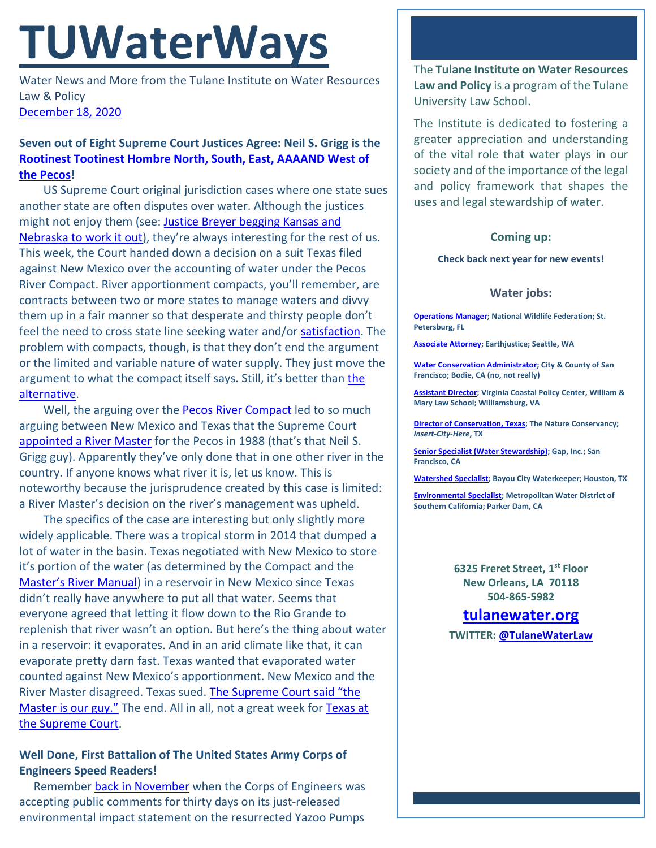# **TUWaterWays**

Water News and More from the Tulane Institute on Water Resources Law & Policy [December 18, 2020](https://thisdayinwaterhistory.wordpress.com/)

## **Seven out of Eight Supreme Court Justices Agree: Neil S. Grigg is the Rootinest Tootinest [Hombre North, South, East, AAAAND West of](https://www.youtube.com/watch?v=zuZcUk3GjfA)  [the Pecos!](https://www.youtube.com/watch?v=zuZcUk3GjfA)**

US Supreme Court original jurisdiction cases where one state sues another state are often disputes over water. Although the justices might not enjoy them (see: [Justice Breyer begging Kansas and](https://www.supremecourt.gov/oral_arguments/argument_transcripts/2014/126,%20orig_ppl4.pdf)  [Nebraska to work it out\)](https://www.supremecourt.gov/oral_arguments/argument_transcripts/2014/126,%20orig_ppl4.pdf), they're always interesting for the rest of us. This week, the Court handed down a decision on a suit Texas filed against New Mexico over the accounting of water under the Pecos River Compact. River apportionment compacts, you'll remember, are contracts between two or more states to manage waters and divvy them up in a fair manner so that desperate and thirsty people don't feel the need to cross state line seeking water and/or [satisfaction.](https://www.youtube.com/watch?v=HmvSgvy7a34) The problem with compacts, though, is that they don't end the argument or the limited and variable nature of water supply. They just move the argument to what the compact itself says. Still, it's better than [the](https://www.youtube.com/watch?v=9ioRMsPEf8o)  [alternative.](https://www.youtube.com/watch?v=9ioRMsPEf8o)

Well, the arguing over the **Pecos River Compact** led to so much arguing between New Mexico and Texas that the Supreme Court [appointed a River Master](https://www.ose.state.nm.us/Compacts/Pecos/PDF/pecos_decree.pdf) for the Pecos in 1988 (that's that Neil S. Grigg guy). Apparently they've only done that in one other river in the country. If anyone knows what river it is, let us know. This is noteworthy because the jurisprudence created by this case is limited: a River Master's decision on the river's management was upheld.

The specifics of the case are interesting but only slightly more widely applicable. There was a tropical storm in 2014 that dumped a lot of water in the basin. Texas negotiated with New Mexico to store it's portion of the water (as determined by the Compact and the Master's R[iver Manual\)](https://www.ose.state.nm.us/Compacts/Pecos/PDF/pecos_river_master_manual.pdf) in a reservoir in New Mexico since Texas didn't really have anywhere to put all that water. Seems that everyone agreed that letting it flow down to the Rio Grande to replenish that river wasn't an option. But here's the thing about water in a reservoir: it evaporates. And in an arid climate like that, it can evaporate pretty darn fast. Texas wanted that evaporated water counted against New Mexico's apportionment. New Mexico and the River Master disagreed. Texas sued. [The Supreme Court said](https://www.scotusblog.com/2020/12/opinion-analysis-court-sides-with-new-mexico-over-texas-in-interstate-water-dispute/) "the [Master is our guy."](https://www.scotusblog.com/2020/12/opinion-analysis-court-sides-with-new-mexico-over-texas-in-interstate-water-dispute/) The end. All in all, not a great week for [Texas at](https://www.nytimes.com/2020/12/11/us/politics/supreme-court-election-texas.html)  [the Supreme Court.](https://www.nytimes.com/2020/12/11/us/politics/supreme-court-election-texas.html)

## **Well Done, First Battalion of The United States Army Corps of Engineers Speed Readers!**

 Remember [back in November](https://a21005ea-f0f0-4cff-a527-7c658373c740.filesusr.com/ugd/32079b_062a79296a8a4a8cb07e7eba792160c4.pdf) when the Corps of Engineers was accepting public comments for thirty days on its just-released environmental impact statement on the resurrected Yazoo Pumps

The **Tulane Institute on Water Resources Law and Policy** is a program of the Tulane University Law School.

The Institute is dedicated to fostering a greater appreciation and understanding of the vital role that water plays in our society and of the importance of the legal and policy framework that shapes the uses and legal stewardship of water.

#### **Coming up:**

**Check back next year for new events!**

#### **Water jobs:**

**[Operations Manager;](https://nam03.safelinks.protection.outlook.com/?url=https%3A%2F%2Frecruiting.ultipro.com%2FNAT1047NWF%2FJobBoard%2F1ca8346a-33cc-401d-90d9-d7f752fdfd7d%2FOpportunity%2FOpportunityDetail%3FopportunityId%3D0fecd9ad-bef4-41f9-93b8-19a8d432337b&data=04%7C01%7Cpmastin%40tulane.edu%7Cf9f9e45960b340147a8808d895670670%7C9de9818325d94b139fc34de5489c1f3b%7C1%7C0%7C637423617007965268%7CUnknown%7CTWFpbGZsb3d8eyJWIjoiMC4wLjAwMDAiLCJQIjoiV2luMzIiLCJBTiI6Ik1haWwiLCJXVCI6Mn0%3D%7C1000&sdata=cuhy9t3bmmOEGwYAMhTn1Uwh0MK6v6LW1i1Q4eQlETQ%3D&reserved=0) National Wildlife Federation; St. Petersburg, FL**

**[Associate Attorney;](https://jobs.jobvite.com/earthjustice/job/o2Modfw9?nl=1) Earthjustice; Seattle, WA**

**[Water Conservation Administrator;](https://www.jobapscloud.com/SF/sup/bulpreview.asp?R1=PEX&R2=1839&R3=108376) City & County of San Francisco; Bodie, CA (no, not really)**

**[Assistant Director;](https://jobs.wm.edu/postings/40167) Virginia Coastal Policy Center, William & Mary Law School; Williamsburg, VA**

**[Director of Conservation, Texas;](https://careers.nature.org/psc/tnccareers/APPLICANT/APPL/c/HRS_HRAM_FL.HRS_CG_SEARCH_FL.GBL?Page=HRS_APP_JBPST_FL&Action=U&FOCUS=Applicant&SiteId=1&JobOpeningId=49155&PostingSeq=1&PortalActualURL=https%3a%2f%2fcareers.nature.org%2fpsc%2ftnccareers%2fAPPLICANT%2fAPPL%2fc%2fHRS_HRAM_FL.HRS_CG_SEARCH_FL.GBL%3fPage%3dHRS_APP_JBPST_FL%26Action%3dU%26FOCUS%3dApplicant%26SiteId%3d1%26JobOpeningId%3d49155%26PostingSeq%3d1&PortalRegistryName=APPLICANT&PortalServletURI=https%3a%2f%2fcareers.nature.org%2fpsp%2ftnccareers%2f&PortalURI=https%3a%2f%2fcareers.nature.org%2fpsc%2ftnccareers%2f&PortalHostNode=APPL&NoCrumbs=yes&PortalKeyStruct=yes) The Nature Conservancy;**  *Insert-City-Here***, TX**

**[Senior Specialist \(Water Stewardship\);](https://www.gapinc.com/en-us/jobs/33/88/senior-specialist-water-stewardship) Gap, Inc.; San Francisco, CA** 

**[Watershed Specialist;](https://bayoucitywaterkeeper.org/who-we-are/career/) Bayou City Waterkeeper; Houston, TX**

**[Environmental Specialist;](https://bcwaterjobs.secure.force.com/ViewJob?id=a0C0e00000ORx1hEAD) Metropolitan Water District of Southern California; Parker Dam, CA**

> **6325 Freret Street, 1st Floor New Orleans, LA 70118 504-865-5982**

# **[tulanewater.org](file:///C:/Users/waterlaw/Downloads/tulanewater.org)**

**TWITTER[: @TulaneWaterLaw](http://www.twitter.com/TulaneWaterLaw)**